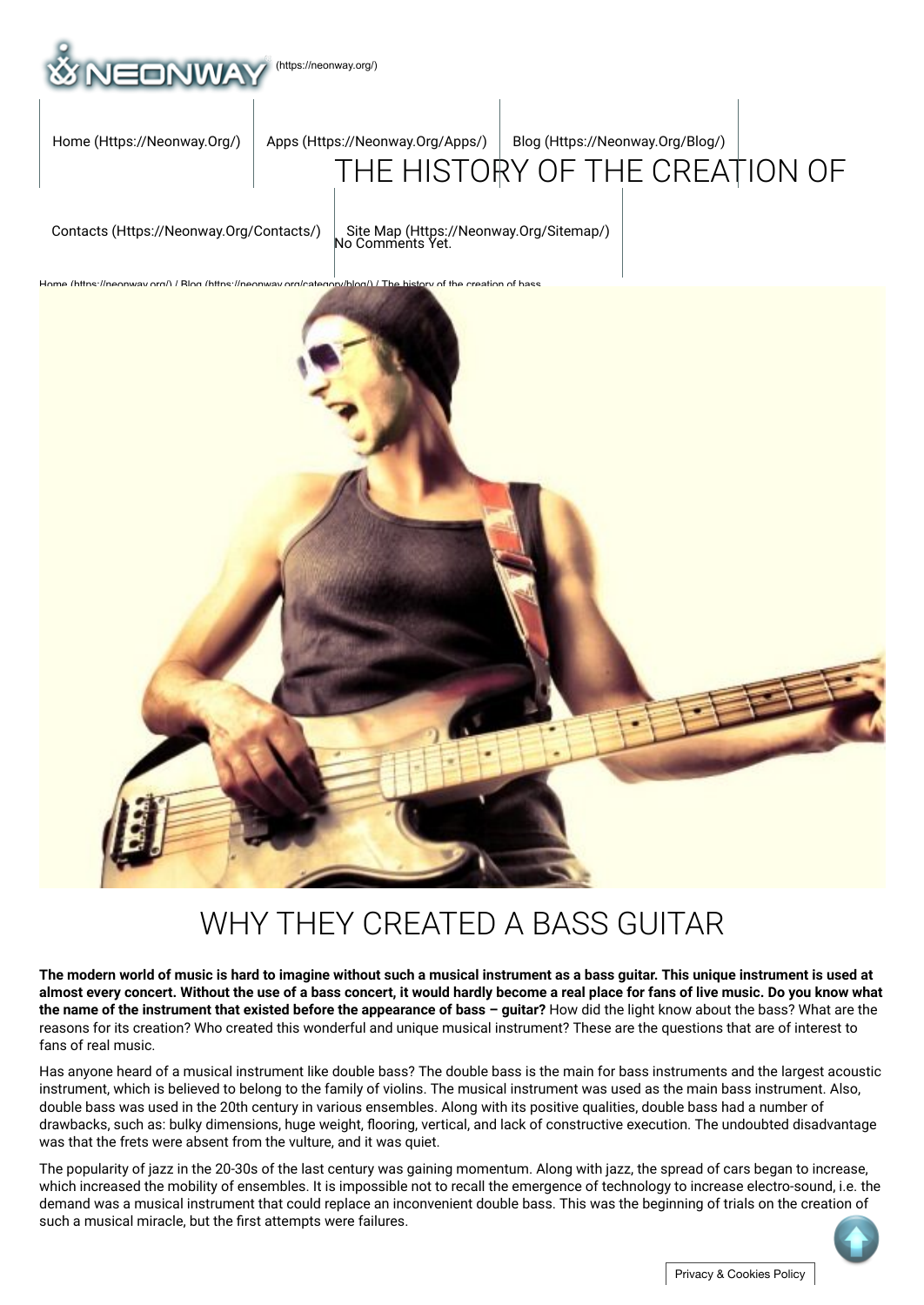

[Home \(Https://Neonway.Org/\)](https://neonway.org/) | Apps (Https://Neonway.Org/Apps/) | Blog (Https://Neonway.Org/Blog/)

# [THE HISTO](https://neonway.org/apps/)[RY OF THE CREAT](https://neonway.org/blog/)ION OF

[Contacts \(Https://Neonway.Org/Contacts/\)](https://neonway.org/contacts/) | [Site Map \(Https://Neonway.Org/Sitemap/\)](https://neonway.org/sitemap/)<br>No Comments Yet.



## WHY THEY CREATED A BASS GUITAR

**The modern world of music is hard to imagine without such a musical instrument as a bass guitar. This unique instrument is used at almost every concert. Without the use of a bass concert, it would hardly become a real place for fans of live music. Do you know what the name of the instrument that existed before the appearance of bass – guitar?** How did the light know about the bass? What are the reasons for its creation? Who created this wonderful and unique musical instrument? These are the questions that are of interest to fans of real music.

Has anyone heard of a musical instrument like double bass? The double bass is the main for bass instruments and the largest acoustic instrument, which is believed to belong to the family of violins. The musical instrument was used as the main bass instrument. Also, double bass was used in the 20th century in various ensembles. Along with its positive qualities, double bass had a number of drawbacks, such as: bulky dimensions, huge weight, flooring, vertical, and lack of constructive execution. The undoubted disadvantage was that the frets were absent from the vulture, and it was quiet.

The popularity of jazz in the 20-30s of the last century was gaining momentum. Along with jazz, the spread of cars began to increase, which increased the mobility of ensembles. It is impossible not to recall the emergence of technology to increase electro-sound, i.e. the demand was a musical instrument that could replace an inconvenient double bass. This was the beginning of trials on the creation of such a musical miracle, but the first attempts were failures.

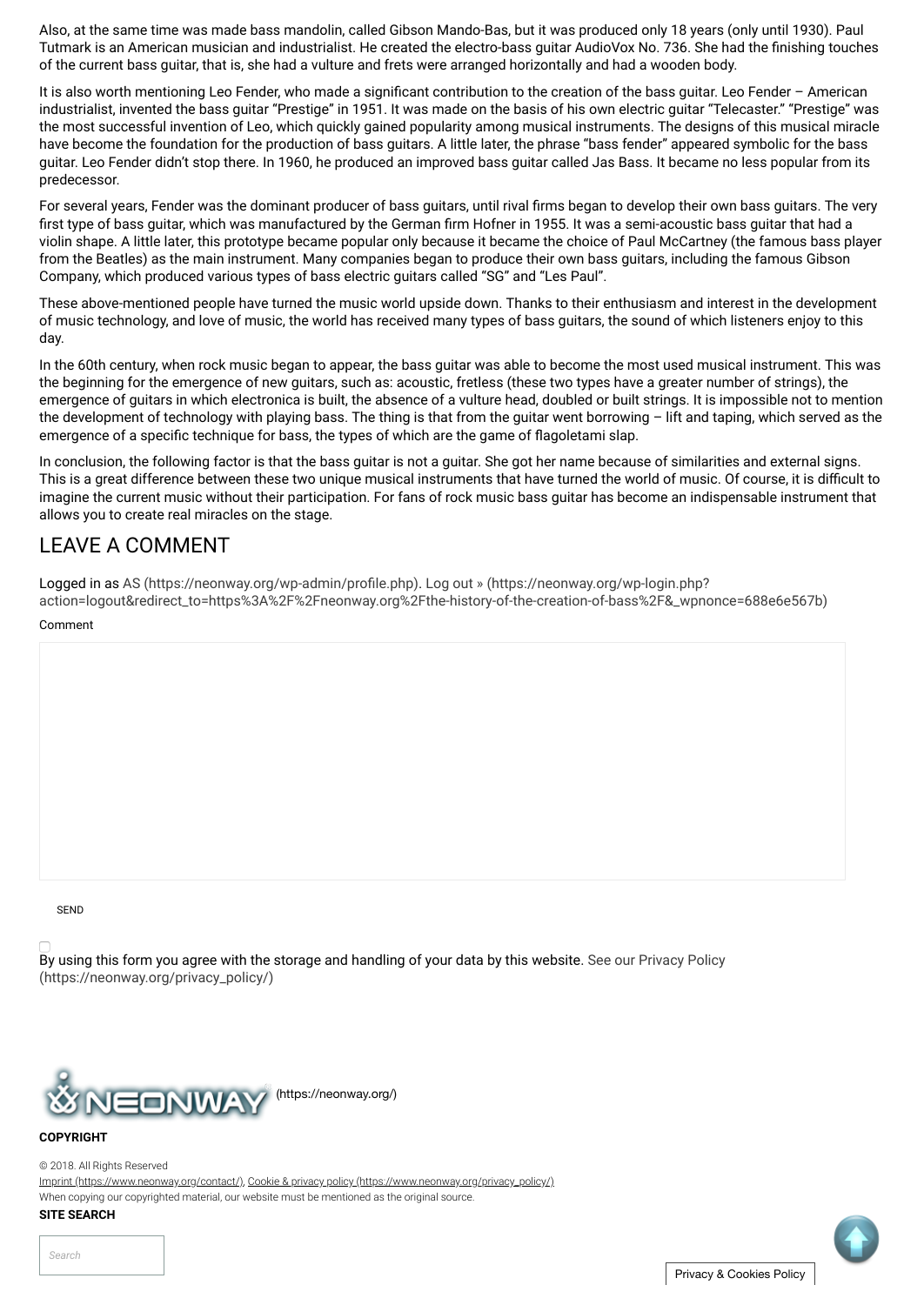Also, at the same time was made bass mandolin, called Gibson Mando-Bas, but it was produced only 18 years (only until 1930). Paul Tutmark is an American musician and industrialist. He created the electro-bass quitar AudioVox No. 736. She had the finishing touches of the current bass guitar, that is, she had a vulture and frets were arranged horizontally and had a wooden body.

It is also worth mentioning Leo Fender, who made a significant contribution to the creation of the bass guitar. Leo Fender – American industrialist, invented the bass quitar "Prestige" in 1951. It was made on the basis of his own electric quitar "Telecaster." "Prestige" was the most successful invention of Leo, which quickly gained popularity among musical instruments. The designs of this musical miracle have become the foundation for the production of bass guitars. A little later, the phrase "bass fender" appeared symbolic for the bass guitar. Leo Fender didn't stop there. In 1960, he produced an improved bass guitar called Jas Bass. It became no less popular from its predecessor.

For several years, Fender was the dominant producer of bass guitars, until rival firms began to develop their own bass guitars. The very first type of bass guitar, which was manufactured by the German firm Hofner in 1955. It was a semi-acoustic bass guitar that had a violin shape. A little later, this prototype became popular only because it became the choice of Paul McCartney (the famous bass player from the Beatles) as the main instrument. Many companies began to produce their own bass guitars, including the famous Gibson Company, which produced various types of bass electric guitars called "SG" and "Les Paul".

These above-mentioned people have turned the music world upside down. Thanks to their enthusiasm and interest in the development of music technology, and love of music, the world has received many types of bass guitars, the sound of which listeners enjoy to this day.

In the 60th century, when rock music began to appear, the bass guitar was able to become the most used musical instrument. This was the beginning for the emergence of new guitars, such as: acoustic, fretless (these two types have a greater number of strings), the emergence of guitars in which electronica is built, the absence of a vulture head, doubled or built strings. It is impossible not to mention the development of technology with playing bass. The thing is that from the guitar went borrowing – lift and taping, which served as the emergence of a specific technique for bass, the types of which are the game of flagoletami slap.

In conclusion, the following factor is that the bass guitar is not a guitar. She got her name because of similarities and external signs. This is a great difference between these two unique musical instruments that have turned the world of music. Of course, it is difficult to imagine the current music without their participation. For fans of rock music bass guitar has become an indispensable instrument that allows you to create real miracles on the stage.

### LEAVE A COMMENT

Logged in as AS (https://neonway.org/wp-admin/profile.php). Log out » (https://neonway.org/wp-login.php? [action=logout&redirect\\_to=https%3A%2F%2Fneonway.org%2Fthe-history-of-the-creation-of-bass%2F&\\_wpnonce=688e6e567b\)](https://neonway.org/wp-login.php?action=logout&redirect_to=https%3A%2F%2Fneonway.org%2Fthe-history-of-the-creation-of-bass%2F&_wpnonce=688e6e567b)

#### Comment

#### SEND

[By using this form you agree with the storage and handling of your data by this website. See our Privacy Policy](https://neonway.org/privacy_policy/) (https://neonway.org/privacy\_policy/)



#### **COPYRIGHT**

© 2018. All Rights Reserved

[Imprint \(https://www.neonway.org/contact/\),](https://www.neonway.org/contact/) [Cookie & privacy policy \(https://www.neonway.org/privacy\\_policy/\)](https://www.neonway.org/privacy_policy/)

When copying our copyrighted material, our website must be mentioned as the original source.

#### **SITE SEARCH**